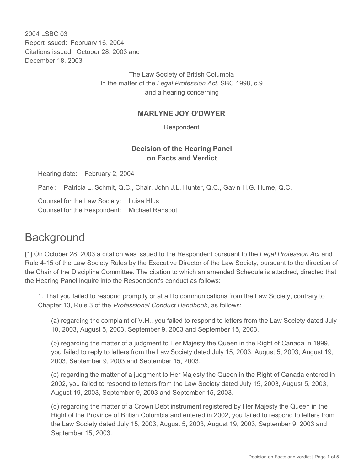2004 LSBC 03 Report issued: February 16, 2004 Citations issued: October 28, 2003 and December 18, 2003

> The Law Society of British Columbia In the matter of the *Legal Profession Act*, SBC 1998, c.9 and a hearing concerning

## **MARLYNE JOY O'DWYER**

Respondent

## **Decision of the Hearing Panel on Facts and Verdict**

Hearing date: February 2, 2004

Panel: Patricia L. Schmit, Q.C., Chair, John J.L. Hunter, Q.C., Gavin H.G. Hume, Q.C.

Counsel for the Law Society: Luisa Hlus Counsel for the Respondent: Michael Ranspot

## **Background**

[1] On October 28, 2003 a citation was issued to the Respondent pursuant to the *Legal Profession Act* and Rule 4-15 of the Law Society Rules by the Executive Director of the Law Society, pursuant to the direction of the Chair of the Discipline Committee. The citation to which an amended Schedule is attached, directed that the Hearing Panel inquire into the Respondent's conduct as follows:

1. That you failed to respond promptly or at all to communications from the Law Society, contrary to Chapter 13, Rule 3 of the *Professional Conduct Handbook*, as follows:

(a) regarding the complaint of V.H., you failed to respond to letters from the Law Society dated July 10, 2003, August 5, 2003, September 9, 2003 and September 15, 2003.

(b) regarding the matter of a judgment to Her Majesty the Queen in the Right of Canada in 1999, you failed to reply to letters from the Law Society dated July 15, 2003, August 5, 2003, August 19, 2003, September 9, 2003 and September 15, 2003.

(c) regarding the matter of a judgment to Her Majesty the Queen in the Right of Canada entered in 2002, you failed to respond to letters from the Law Society dated July 15, 2003, August 5, 2003, August 19, 2003, September 9, 2003 and September 15, 2003.

(d) regarding the matter of a Crown Debt instrument registered by Her Majesty the Queen in the Right of the Province of British Columbia and entered in 2002, you failed to respond to letters from the Law Society dated July 15, 2003, August 5, 2003, August 19, 2003, September 9, 2003 and September 15, 2003.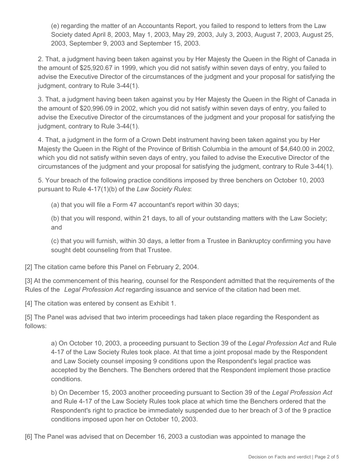(e) regarding the matter of an Accountants Report, you failed to respond to letters from the Law Society dated April 8, 2003, May 1, 2003, May 29, 2003, July 3, 2003, August 7, 2003, August 25, 2003, September 9, 2003 and September 15, 2003.

2. That, a judgment having been taken against you by Her Majesty the Queen in the Right of Canada in the amount of \$25,920.67 in 1999, which you did not satisfy within seven days of entry, you failed to advise the Executive Director of the circumstances of the judgment and your proposal for satisfying the judgment, contrary to Rule 3-44(1).

3. That, a judgment having been taken against you by Her Majesty the Queen in the Right of Canada in the amount of \$20,996.09 in 2002, which you did not satisfy within seven days of entry, you failed to advise the Executive Director of the circumstances of the judgment and your proposal for satisfying the judgment, contrary to Rule 3-44(1).

4. That, a judgment in the form of a Crown Debt instrument having been taken against you by Her Majesty the Queen in the Right of the Province of British Columbia in the amount of \$4,640.00 in 2002, which you did not satisfy within seven days of entry, you failed to advise the Executive Director of the circumstances of the judgment and your proposal for satisfying the judgment, contrary to Rule 3-44(1).

5. Your breach of the following practice conditions imposed by three benchers on October 10, 2003 pursuant to Rule 4-17(1)(b) of the *Law Society Rules*:

(a) that you will file a Form 47 accountant's report within 30 days;

(b) that you will respond, within 21 days, to all of your outstanding matters with the Law Society; and

(c) that you will furnish, within 30 days, a letter from a Trustee in Bankruptcy confirming you have sought debt counseling from that Trustee.

[2] The citation came before this Panel on February 2, 2004.

[3] At the commencement of this hearing, counsel for the Respondent admitted that the requirements of the Rules of the *Legal Profession Act* regarding issuance and service of the citation had been met.

[4] The citation was entered by consent as Exhibit 1.

[5] The Panel was advised that two interim proceedings had taken place regarding the Respondent as follows:

a) On October 10, 2003, a proceeding pursuant to Section 39 of the *Legal Profession Act* and Rule 4-17 of the Law Society Rules took place. At that time a joint proposal made by the Respondent and Law Society counsel imposing 9 conditions upon the Respondent's legal practice was accepted by the Benchers. The Benchers ordered that the Respondent implement those practice conditions.

b) On December 15, 2003 another proceeding pursuant to Section 39 of the *Legal Profession Act* and Rule 4-17 of the Law Society Rules took place at which time the Benchers ordered that the Respondent's right to practice be immediately suspended due to her breach of 3 of the 9 practice conditions imposed upon her on October 10, 2003.

[6] The Panel was advised that on December 16, 2003 a custodian was appointed to manage the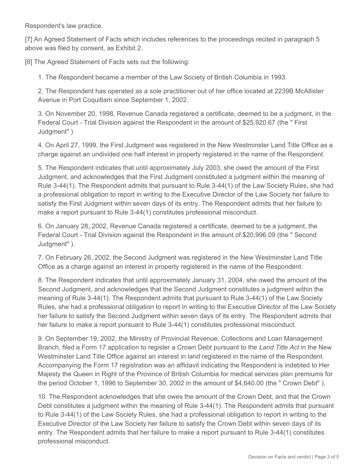Respondent's law practice.

[7] An Agreed Statement of Facts which includes references to the proceedings recited in paragraph 5 above was filed by consent, as Exhibit 2.

[8] The Agreed Statement of Facts sets out the following:

1. The Respondent became a member of the Law Society of British Columbia in 1993.

2. The Respondent has operated as a sole practitioner out of her office located at 2239B McAllister Avenue in Port Coquitlam since September 1, 2002.

3. On November 20, 1998, Revenue Canada registered a certificate, deemed to be a judgment, in the Federal Court - Trial Division against the Respondent in the amount of \$25,920.67 (the " First Judgment" )

4. On April 27, 1999, the First Judgment was registered in the New Westminster Land Title Office as a charge against an undivided one half interest in property registered in the name of the Respondent.

5. The Respondent indicates that until approximately July 2003, she owed the amount of the First Judgment, and acknowledges that the First Judgment constituted a judgment within the meaning of Rule 3-44(1). The Respondent admits that pursuant to Rule 3-44(1) of the Law Society Rules, she had a professional obligation to report in writing to the Executive Director of the Law Society her failure to satisfy the First Judgment within seven days of its entry. The Respondent admits that her failure to make a report pursuant to Rule 3-44(1) constitutes professional misconduct.

6. On January 28, 2002, Revenue Canada registered a certificate, deemed to be a judgment, the Federal Court - Trial Division against the Respondent in the amount of \$20,996.09 (the " Second Judgment" ).

7. On February 26, 2002, the Second Judgment was registered in the New Westminster Land Title Office as a charge against an interest in property registered in the name of the Respondent.

8. The Respondent indicates that until approximately January 31, 2004, she owed the amount of the Second Judgment, and acknowledges that the Second Judgment constitutes a judgment within the meaning of Rule 3-44(1). The Respondent admits that pursuant to Rule 3-44(1) of the Law Society Rules, she had a professional obligation to report in writing to the Executive Director of the Law Society her failure to satisfy the Second Judgment within seven days of its entry. The Respondent admits that her failure to make a report pursuant to Rule 3-44(1) constitutes professional misconduct.

9. On September 19, 2002, the Ministry of Provincial Revenue, Collections and Loan Management Branch, filed a Form 17 application to register a Crown Debt pursuant to the *Land Title Act* in the New Westminster Land Title Office against an interest in land registered in the name of the Respondent. Accompanying the Form 17 registration was an affidavit indicating the Respondent is indebted to Her Majesty the Queen in Right of the Province of British Columbia for medical services plan premiums for the period October 1, 1996 to September 30, 2002 in the amount of \$4,640.00 (the " Crown Debt" ).

10. The Respondent acknowledges that she owes the amount of the Crown Debt, and that the Crown Debt constitutes a judgment within the meaning of Rule 3-44(1). The Respondent admits that pursuant to Rule 3-44(1) of the Law Society Rules, she had a professional obligation to report in writing to the Executive Director of the Law Society her failure to satisfy the Crown Debt within seven days of its entry. The Respondent admits that her failure to make a report pursuant to Rule 3-44(1) constitutes professional misconduct.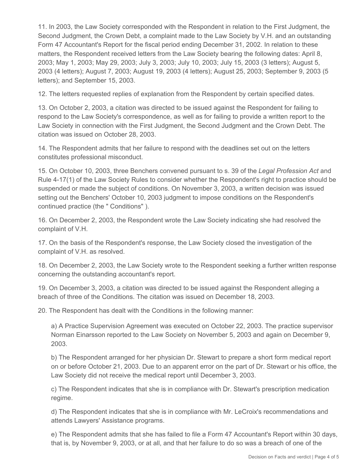11. In 2003, the Law Society corresponded with the Respondent in relation to the First Judgment, the Second Judgment, the Crown Debt, a complaint made to the Law Society by V.H. and an outstanding Form 47 Accountant's Report for the fiscal period ending December 31, 2002. In relation to these matters, the Respondent received letters from the Law Society bearing the following dates: April 8, 2003; May 1, 2003; May 29, 2003; July 3, 2003; July 10, 2003; July 15, 2003 (3 letters); August 5, 2003 (4 letters); August 7, 2003; August 19, 2003 (4 letters); August 25, 2003; September 9, 2003 (5 letters); and September 15, 2003.

12. The letters requested replies of explanation from the Respondent by certain specified dates.

13. On October 2, 2003, a citation was directed to be issued against the Respondent for failing to respond to the Law Society's correspondence, as well as for failing to provide a written report to the Law Society in connection with the First Judgment, the Second Judgment and the Crown Debt. The citation was issued on October 28, 2003.

14. The Respondent admits that her failure to respond with the deadlines set out on the letters constitutes professional misconduct.

15. On October 10, 2003, three Benchers convened pursuant to s. 39 of the *Legal Profession Act* and Rule 4-17(1) of the Law Society Rules to consider whether the Respondent's right to practice should be suspended or made the subject of conditions. On November 3, 2003, a written decision was issued setting out the Benchers' October 10, 2003 judgment to impose conditions on the Respondent's continued practice (the " Conditions" ).

16. On December 2, 2003, the Respondent wrote the Law Society indicating she had resolved the complaint of V.H.

17. On the basis of the Respondent's response, the Law Society closed the investigation of the complaint of V.H. as resolved.

18. On December 2, 2003, the Law Society wrote to the Respondent seeking a further written response concerning the outstanding accountant's report.

19. On December 3, 2003, a citation was directed to be issued against the Respondent alleging a breach of three of the Conditions. The citation was issued on December 18, 2003.

20. The Respondent has dealt with the Conditions in the following manner:

a) A Practice Supervision Agreement was executed on October 22, 2003. The practice supervisor Norman Einarsson reported to the Law Society on November 5, 2003 and again on December 9, 2003.

b) The Respondent arranged for her physician Dr. Stewart to prepare a short form medical report on or before October 21, 2003. Due to an apparent error on the part of Dr. Stewart or his office, the Law Society did not receive the medical report until December 3, 2003.

c) The Respondent indicates that she is in compliance with Dr. Stewart's prescription medication regime.

d) The Respondent indicates that she is in compliance with Mr. LeCroix's recommendations and attends Lawyers' Assistance programs.

e) The Respondent admits that she has failed to file a Form 47 Accountant's Report within 30 days, that is, by November 9, 2003, or at all, and that her failure to do so was a breach of one of the